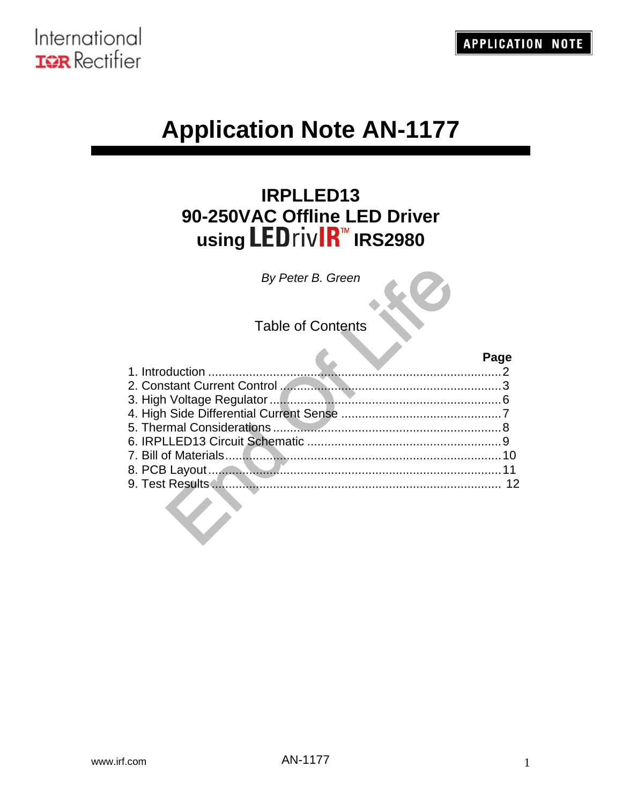

# **Application Note AN-1177**

### **IRPLLED13 90-250VAC Offline LED Driver using LEDrivIR™ IRS2980**

### Table of Contents

| By Peter B. Green        |      |
|--------------------------|------|
| <b>Table of Contents</b> |      |
| 1. Introduction          | Page |
|                          |      |
|                          |      |
|                          |      |
|                          |      |
|                          |      |
|                          |      |
|                          |      |
|                          | 12   |
|                          |      |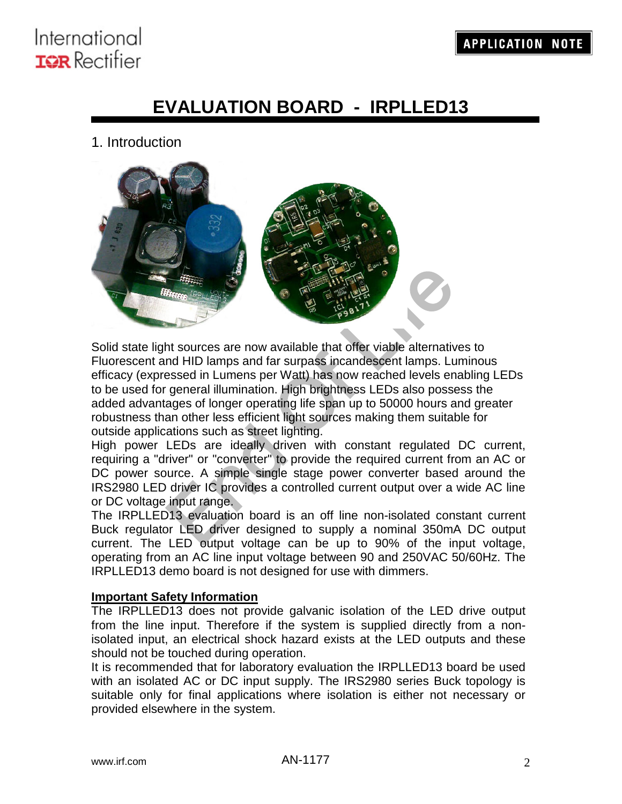### **APPLICATION NOTE**

### International **IGR** Rectifier

### **EVALUATION BOARD - IRPLLED13**

1. Introduction



End of the control of the capture of the capture of the capture of the capture of the capture of the capture of the capture of the capture of the capture of the capture of the capture of the capture of the capture of the c Solid state light sources are now available that offer viable alternatives to Fluorescent and HID lamps and far surpass incandescent lamps. Luminous efficacy (expressed in Lumens per Watt) has now reached levels enabling LEDs to be used for general illumination. High brightness LEDs also possess the added advantages of longer operating life span up to 50000 hours and greater robustness than other less efficient light sources making them suitable for outside applications such as street lighting.

High power LEDs are ideally driven with constant regulated DC current, requiring a "driver" or "converter" to provide the required current from an AC or DC power source. A simple single stage power converter based around the IRS2980 LED driver IC provides a controlled current output over a wide AC line or DC voltage input range.

The IRPLLED13 evaluation board is an off line non-isolated constant current Buck regulator LED driver designed to supply a nominal 350mA DC output current. The LED output voltage can be up to 90% of the input voltage, operating from an AC line input voltage between 90 and 250VAC 50/60Hz. The IRPLLED13 demo board is not designed for use with dimmers.

#### **Important Safety Information**

The IRPLLED13 does not provide galvanic isolation of the LED drive output from the line input. Therefore if the system is supplied directly from a nonisolated input, an electrical shock hazard exists at the LED outputs and these should not be touched during operation.

It is recommended that for laboratory evaluation the IRPLLED13 board be used with an isolated AC or DC input supply. The IRS2980 series Buck topology is suitable only for final applications where isolation is either not necessary or provided elsewhere in the system.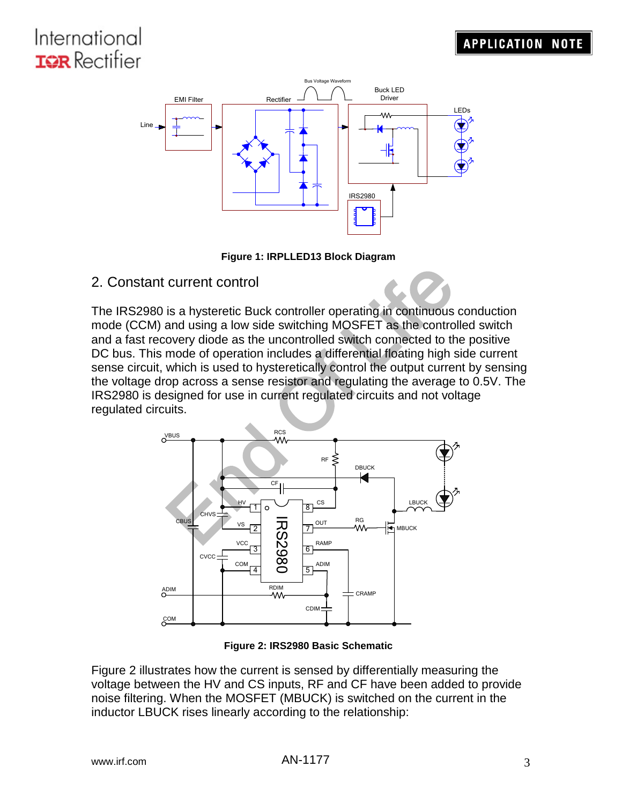

**Figure 1: IRPLLED13 Block Diagram**

#### 2. Constant current control

The IRS2980 is a hysteretic Buck controller operating in continuous conduction mode (CCM) and using a low side switching MOSFET as the controlled switch and a fast recovery diode as the uncontrolled switch connected to the positive DC bus. This mode of operation includes a differential floating high side current sense circuit, which is used to hysteretically control the output current by sensing the voltage drop across a sense resistor and regulating the average to 0.5V. The IRS2980 is designed for use in current regulated circuits and not voltage regulated circuits.



**Figure 2: IRS2980 Basic Schematic**

Figure 2 illustrates how the current is sensed by differentially measuring the voltage between the HV and CS inputs, RF and CF have been added to provide noise filtering. When the MOSFET (MBUCK) is switched on the current in the inductor LBUCK rises linearly according to the relationship: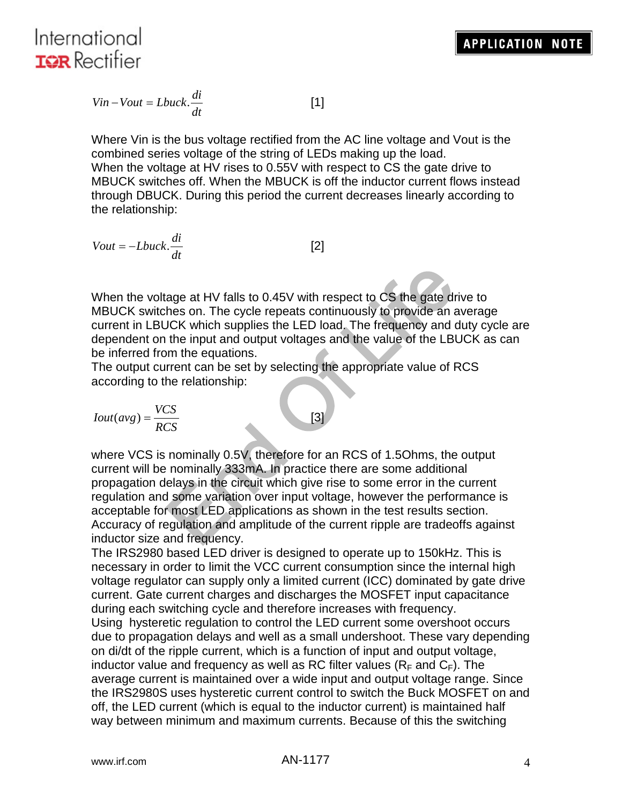$$
Vin-Vout=Lbuck.\frac{di}{dt}
$$
 [1]

Where Vin is the bus voltage rectified from the AC line voltage and Vout is the combined series voltage of the string of LEDs making up the load. When the voltage at HV rises to 0.55V with respect to CS the gate drive to MBUCK switches off. When the MBUCK is off the inductor current flows instead through DBUCK. During this period the current decreases linearly according to the relationship:

$$
Vout = -Lbuck.\frac{di}{dt}
$$
 [2]

When the voltage at HV falls to 0.45V with respect to CS the gate drive to MBUCK switches on. The cycle repeats continuously to provide an average current in LBUCK which supplies the LED load. The frequency and duty cycle are dependent on the input and output voltages and the value of the LBUCK as can be inferred from the equations.

The output current can be set by selecting the appropriate value of RCS according to the relationship:

$$
Iout(avg) = \frac{VCS}{RCS}
$$
 [3]

age at HV falls to 0.45V with respect to CS the gate drive<br>hes on. The cycle repeats continuously to provide an ave<br>JCK which supplies the LED load. The frequency and dut<br>the input and output voltages and the value of the where VCS is nominally 0.5V, therefore for an RCS of 1.5Ohms, the output current will be nominally 333mA. In practice there are some additional propagation delays in the circuit which give rise to some error in the current regulation and some variation over input voltage, however the performance is acceptable for most LED applications as shown in the test results section. Accuracy of regulation and amplitude of the current ripple are tradeoffs against inductor size and frequency.

The IRS2980 based LED driver is designed to operate up to 150kHz. This is necessary in order to limit the VCC current consumption since the internal high voltage regulator can supply only a limited current (ICC) dominated by gate drive current. Gate current charges and discharges the MOSFET input capacitance during each switching cycle and therefore increases with frequency. Using hysteretic regulation to control the LED current some overshoot occurs due to propagation delays and well as a small undershoot. These vary depending on di/dt of the ripple current, which is a function of input and output voltage, inductor value and frequency as well as RC filter values ( $R_F$  and  $C_F$ ). The average current is maintained over a wide input and output voltage range. Since the IRS2980S uses hysteretic current control to switch the Buck MOSFET on and off, the LED current (which is equal to the inductor current) is maintained half way between minimum and maximum currents. Because of this the switching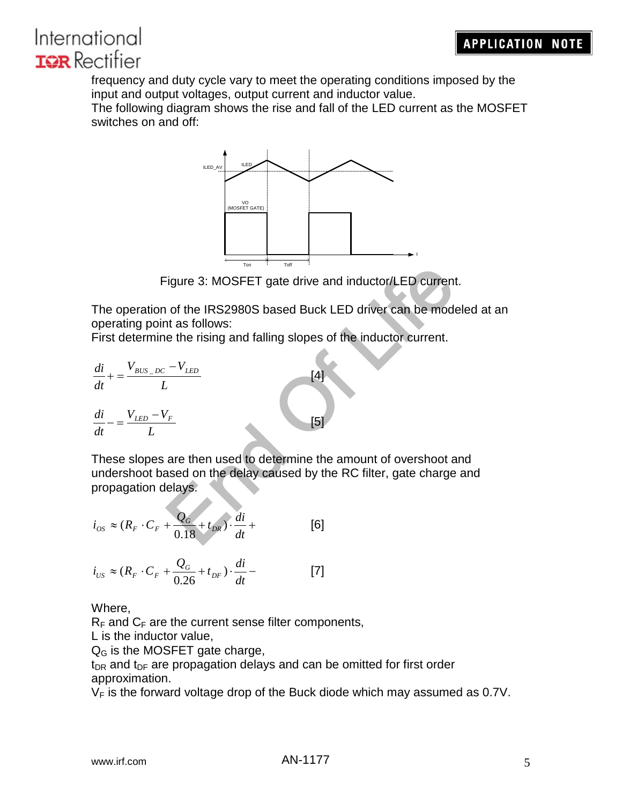frequency and duty cycle vary to meet the operating conditions imposed by the input and output voltages, output current and inductor value.

The following diagram shows the rise and fall of the LED current as the MOSFET switches on and off:



Figure 3: MOSFET gate drive and inductor/LED current.

The operation of the IRS2980S based Buck LED driver can be modeled at an operating point as follows:

First determine the rising and falling slopes of the inductor current.

Figure 3: MOSFET gate drive and inductor/LED current.  
\nThe operation of the IRS2980S based Buck LED driver can be modeled  
\noperating point as follows:  
\nFirst determine the rising and falling slopes of the inductor current.  
\n
$$
\frac{di}{dt} + \frac{V_{BUS\_DC} - V_{LED}}{L}
$$
\n[4]  
\n
$$
\frac{di}{dt} - \frac{V_{LED} - V_{F}}{L}
$$
\n[5]  
\nThese slopes are then used to determine the amount of overshoot and  
\nundershoot based on the delay caused by the RC filter, gate charge are  
\npropagation delays.  
\n $i_{OS} \approx (R_F \cdot C_F + \frac{Q_G}{0.18} + t_{DR}) \cdot \frac{di}{dt} +$ \n[6]

These slopes are then used to determine the amount of overshoot and undershoot based on the delay caused by the RC filter, gate charge and propagation delays.

$$
i_{OS} \approx (R_F \cdot C_F + \frac{Q_G}{0.18} + t_{DR}) \cdot \frac{di}{dt} +
$$
 [6]

$$
i_{US} \approx (R_F \cdot C_F + \frac{Q_G}{0.26} + t_{DF}) \cdot \frac{di}{dt} - \tag{7}
$$

Where,

 $R_F$  and  $C_F$  are the current sense filter components,

L is the inductor value,

 $Q<sub>G</sub>$  is the MOSFET gate charge,

 $t_{DR}$  and  $t_{DF}$  are propagation delays and can be omitted for first order approximation.

 $V_F$  is the forward voltage drop of the Buck diode which may assumed as 0.7V.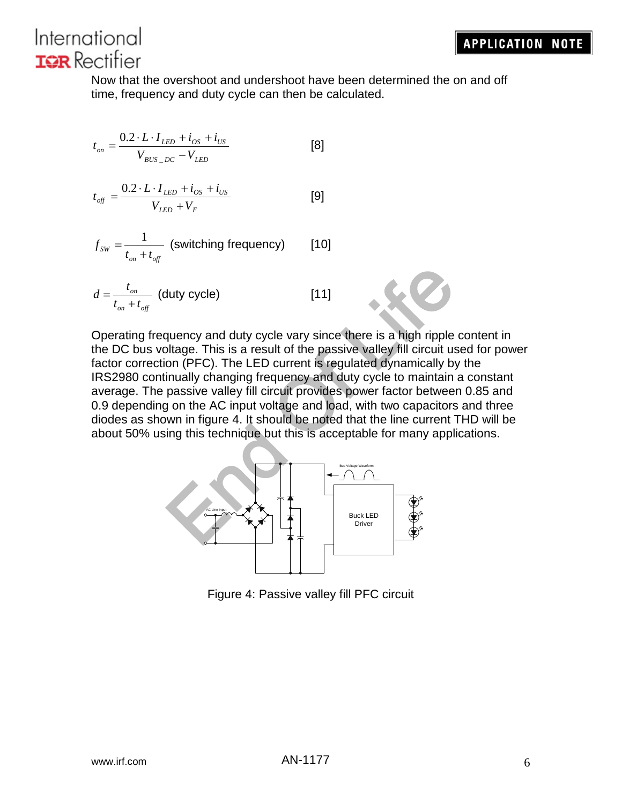Now that the overshoot and undershoot have been determined the on and off time, frequency and duty cycle can then be calculated.

$$
t_{on} = \frac{0.2 \cdot L \cdot I_{LED} + i_{OS} + i_{US}}{V_{BUS\_DC} - V_{LED}}
$$
 [8]

$$
t_{\text{off}} = \frac{0.2 \cdot L \cdot I_{LED} + i_{OS} + i_{US}}{V_{LED} + V_F}
$$
 [9]

$$
f_{SW} = \frac{1}{t_{on} + t_{off}}
$$
 (switching frequency) [10]

$$
d = \frac{t_{on}}{t_{on} + t_{off}}
$$
 (duty cycle) [11]

Property and duty cycle vary since there is a high ripple cold<br>tage. This is a result of the passive valley fill circuit used<br>on (PFC). The LED current is regulated dynamically by the<br>invally changing frequency and duty cy Operating frequency and duty cycle vary since there is a high ripple content in the DC bus voltage. This is a result of the passive valley fill circuit used for power factor correction (PFC). The LED current is regulated dynamically by the IRS2980 continually changing frequency and duty cycle to maintain a constant average. The passive valley fill circuit provides power factor between 0.85 and 0.9 depending on the AC input voltage and load, with two capacitors and three diodes as shown in figure 4. It should be noted that the line current THD will be about 50% using this technique but this is acceptable for many applications.



Figure 4: Passive valley fill PFC circuit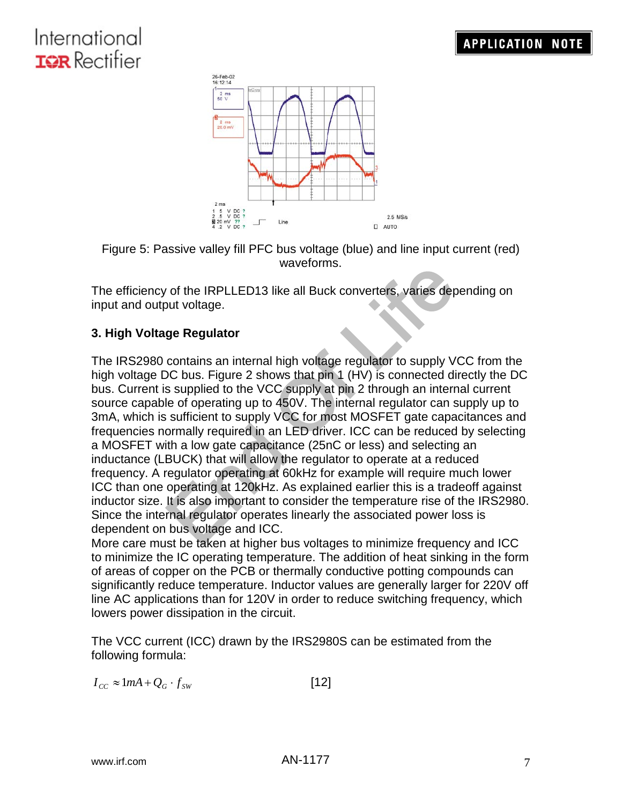



The efficiency of the IRPLLED13 like all Buck converters, varies depending on input and output voltage.

### **3. High Voltage Regulator**

mateuring.<br>
So the IRPLLED13 like all Buck converters, varies deper<br>
ge Regulator<br>
ge Regulator<br>
contains an internal high voltage regulator to supply VCC<br>
CO bus. Figure 2 shows that pin 1 (HV) is connected direct<br>
suppli The IRS2980 contains an internal high voltage regulator to supply VCC from the high voltage DC bus. Figure 2 shows that pin 1 (HV) is connected directly the DC bus. Current is supplied to the VCC supply at pin 2 through an internal current source capable of operating up to 450V. The internal regulator can supply up to 3mA, which is sufficient to supply VCC for most MOSFET gate capacitances and frequencies normally required in an LED driver. ICC can be reduced by selecting a MOSFET with a low gate capacitance (25nC or less) and selecting an inductance (LBUCK) that will allow the regulator to operate at a reduced frequency. A regulator operating at 60kHz for example will require much lower ICC than one operating at 120kHz. As explained earlier this is a tradeoff against inductor size. It is also important to consider the temperature rise of the IRS2980. Since the internal regulator operates linearly the associated power loss is dependent on bus voltage and ICC.

More care must be taken at higher bus voltages to minimize frequency and ICC to minimize the IC operating temperature. The addition of heat sinking in the form of areas of copper on the PCB or thermally conductive potting compounds can significantly reduce temperature. Inductor values are generally larger for 220V off line AC applications than for 120V in order to reduce switching frequency, which lowers power dissipation in the circuit.

The VCC current (ICC) drawn by the IRS2980S can be estimated from the following formula:

$$
I_{cc} \approx 1mA + Q_G \cdot f_{sw} \tag{12}
$$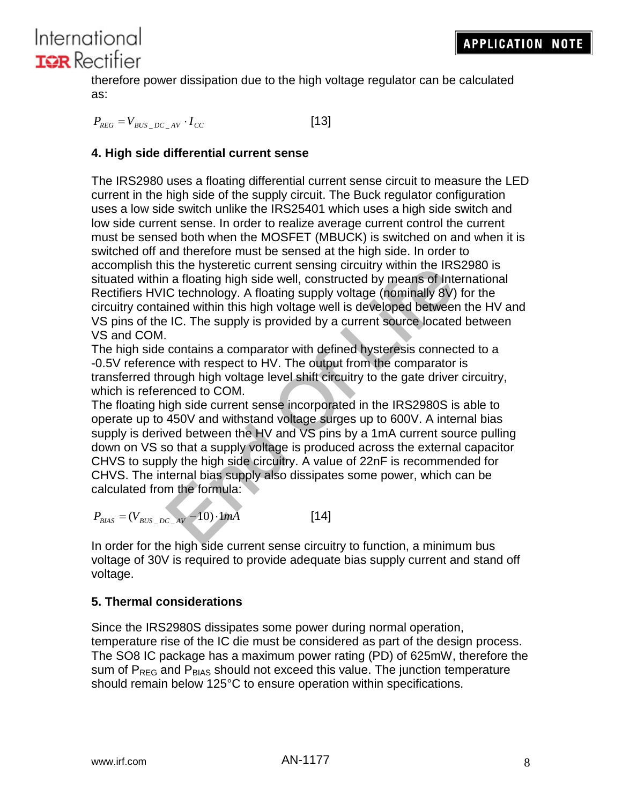therefore power dissipation due to the high voltage regulator can be calculated as:

 $P_{REG} = V_{BUS} - PC_{AV} \cdot I_{CC}$  [13]

### **4. High side differential current sense**

The IRS2980 uses a floating differential current sense circuit to measure the LED current in the high side of the supply circuit. The Buck regulator configuration uses a low side switch unlike the IRS25401 which uses a high side switch and low side current sense. In order to realize average current control the current must be sensed both when the MOSFET (MBUCK) is switched on and when it is switched off and therefore must be sensed at the high side. In order to accomplish this the hysteretic current sensing circuitry within the IRS2980 is situated within a floating high side well, constructed by means of International Rectifiers HVIC technology. A floating supply voltage (nominally 8V) for the circuitry contained within this high voltage well is developed between the HV and VS pins of the IC. The supply is provided by a current source located between VS and COM.

The high side contains a comparator with defined hysteresis connected to a -0.5V reference with respect to HV. The output from the comparator is transferred through high voltage level shift circuitry to the gate driver circuitry, which is referenced to COM.

is the nysterenc current sensing circuity whim the insezes<br>a floating high side well, constructed by means of International<br>C technology. A floating supply voltage (nominally 8V) for<br>ined within this high voltage well is The floating high side current sense incorporated in the IRS2980S is able to operate up to 450V and withstand voltage surges up to 600V. A internal bias supply is derived between the HV and VS pins by a 1mA current source pulling down on VS so that a supply voltage is produced across the external capacitor CHVS to supply the high side circuitry. A value of 22nF is recommended for CHVS. The internal bias supply also dissipates some power, which can be calculated from the formula:

 $P_{BIAS} = (V_{BUS\_DC\_AV} - 10) \cdot 1mA$  [14]

In order for the high side current sense circuitry to function, a minimum bus voltage of 30V is required to provide adequate bias supply current and stand off voltage.

### **5. Thermal considerations**

Since the IRS2980S dissipates some power during normal operation, temperature rise of the IC die must be considered as part of the design process. The SO8 IC package has a maximum power rating (PD) of 625mW, therefore the sum of  $P_{REG}$  and  $P_{BIAS}$  should not exceed this value. The junction temperature should remain below 125°C to ensure operation within specifications.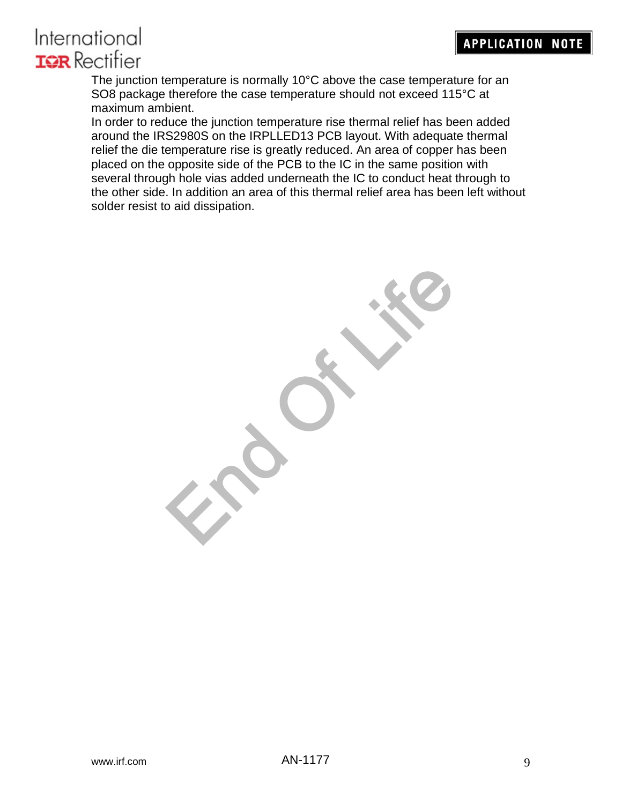The junction temperature is normally 10°C above the case temperature for an SO8 package therefore the case temperature should not exceed 115°C at maximum ambient.

In order to reduce the junction temperature rise thermal relief has been added around the IRS2980S on the IRPLLED13 PCB layout. With adequate thermal relief the die temperature rise is greatly reduced. An area of copper has been placed on the opposite side of the PCB to the IC in the same position with several through hole vias added underneath the IC to conduct heat through to the other side. In addition an area of this thermal relief area has been left without solder resist to aid dissipation.

End Of Life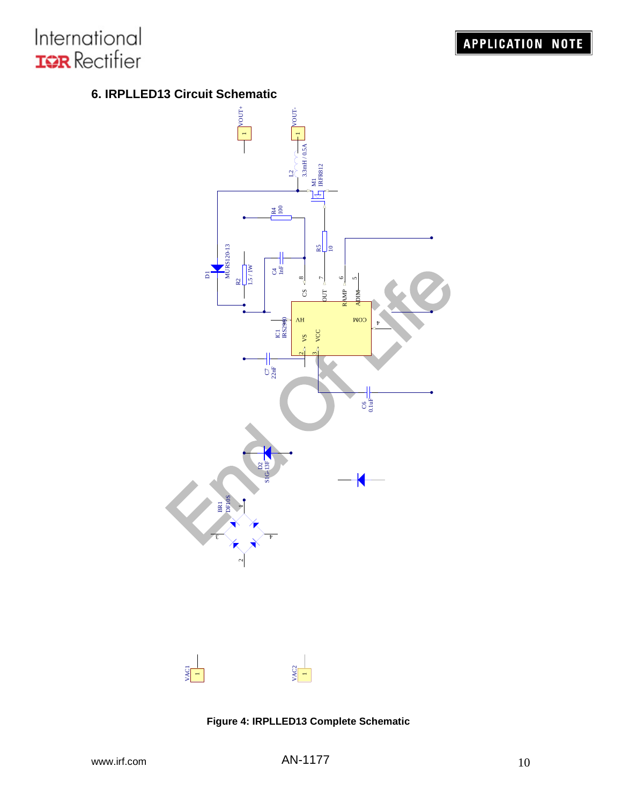### **6. IRPLLED13 Circuit Schematic**





**Figure 4: IRPLLED13 Complete Schematic**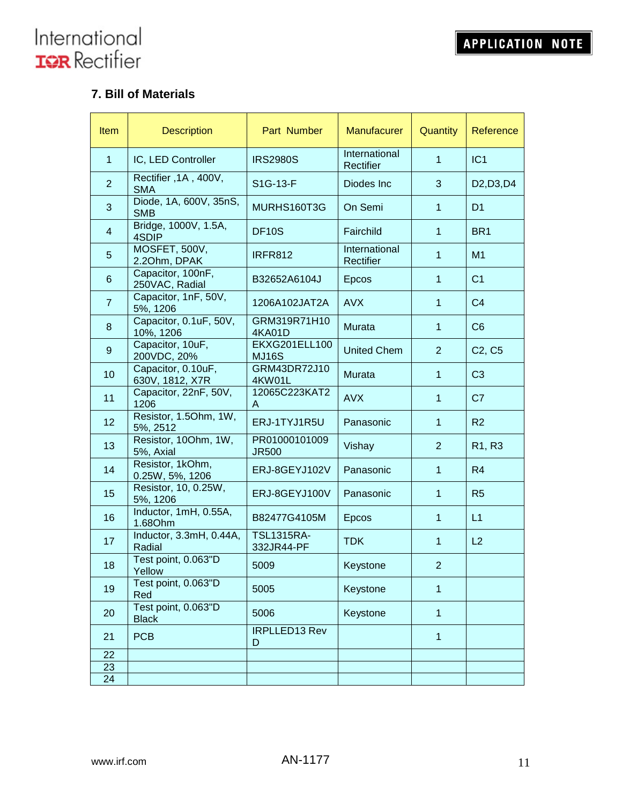### **7. Bill of Materials**

| Item             | <b>Description</b>                    | Part Number                     | <b>Manufacurer</b>         | Quantity       | Reference                                        |
|------------------|---------------------------------------|---------------------------------|----------------------------|----------------|--------------------------------------------------|
| $\mathbf 1$      | IC, LED Controller                    | <b>IRS2980S</b>                 | International<br>Rectifier | $\mathbf{1}$   | IC1                                              |
| $\overline{2}$   | Rectifier, 1A, 400V,<br><b>SMA</b>    | S1G-13-F                        | Diodes Inc                 | 3              | D <sub>2</sub> , D <sub>3</sub> , D <sub>4</sub> |
| 3                | Diode, 1A, 600V, 35nS,<br><b>SMB</b>  | MURHS160T3G                     | On Semi                    | $\mathbf{1}$   | D <sub>1</sub>                                   |
| $\overline{4}$   | Bridge, 1000V, 1.5A,<br>4SDIP         | <b>DF10S</b>                    | Fairchild                  | $\mathbf{1}$   | BR <sub>1</sub>                                  |
| $\overline{5}$   | MOSFET, 500V,<br>2.20hm, DPAK         | <b>IRFR812</b>                  | International<br>Rectifier | $\mathbf{1}$   | M1                                               |
| $\,6$            | Capacitor, 100nF,<br>250VAC, Radial   | B32652A6104J                    | Epcos                      | $\mathbf{1}$   | C <sub>1</sub>                                   |
| $\overline{7}$   | Capacitor, 1nF, 50V,<br>5%, 1206      | 1206A102JAT2A                   | <b>AVX</b>                 | $\mathbf{1}$   | C <sub>4</sub>                                   |
| $\bf 8$          | Capacitor, 0.1uF, 50V,<br>10%, 1206   | GRM319R71H10<br><b>4KA01D</b>   | Murata                     | $\mathbf{1}$   | C <sub>6</sub>                                   |
| $\boldsymbol{9}$ | Capacitor, 10uF,<br>200VDC, 20%       | EKXG201ELL100<br><b>MJ16S</b>   | <b>United Chem</b>         | 2              | C2, C5                                           |
| 10               | Capacitor, 0.10uF,<br>630V, 1812, X7R | GRM43DR72J10<br>4KW01L          | Murata                     | $\mathbf{1}$   | C <sub>3</sub>                                   |
| 11               | Capacitor, 22nF, 50V,<br>1206         | 12065C223KAT2<br>A              | <b>AVX</b>                 | $\mathbf{1}$   | C7                                               |
| 12               | Resistor, 1.5Ohm, 1W,<br>5%, 2512     | ERJ-1TYJ1R5U                    | Panasonic                  | $\mathbf{1}$   | R <sub>2</sub>                                   |
| 13               | Resistor, 100hm, 1W,<br>5%, Axial     | PR01000101009<br><b>JR500</b>   | Vishay                     | $\overline{2}$ | R <sub>1</sub> , R <sub>3</sub>                  |
| 14               | Resistor, 1kOhm,<br>0.25W, 5%, 1206   | ERJ-8GEYJ102V                   | Panasonic                  | $\mathbf{1}$   | R <sub>4</sub>                                   |
| 15               | Resistor, 10, 0.25W,<br>5%, 1206      | ERJ-8GEYJ100V                   | Panasonic                  | $\mathbf 1$    | R <sub>5</sub>                                   |
| 16               | Inductor, 1mH, 0.55A,<br>1.68Ohm      | B82477G4105M                    | Epcos                      | $\mathbf{1}$   | L1                                               |
| 17               | Inductor, 3.3mH, 0.44A,<br>Radial     | <b>TSL1315RA-</b><br>332JR44-PF | <b>TDK</b>                 | $\mathbf{1}$   | L2                                               |
| 18               | Test point, 0.063"D<br>Yellow         | 5009                            | Keystone                   | $\overline{2}$ |                                                  |
| 19               | Test point, 0.063"D<br>Red            | 5005                            | Keystone                   | 1              |                                                  |
| 20               | Test point, 0.063"D<br><b>Black</b>   | 5006                            | Keystone                   | 1              |                                                  |
| 21               | <b>PCB</b>                            | IRPLLED13 Rev<br>D              |                            | $\mathbf{1}$   |                                                  |
| 22               |                                       |                                 |                            |                |                                                  |
| 23               |                                       |                                 |                            |                |                                                  |
| 24               |                                       |                                 |                            |                |                                                  |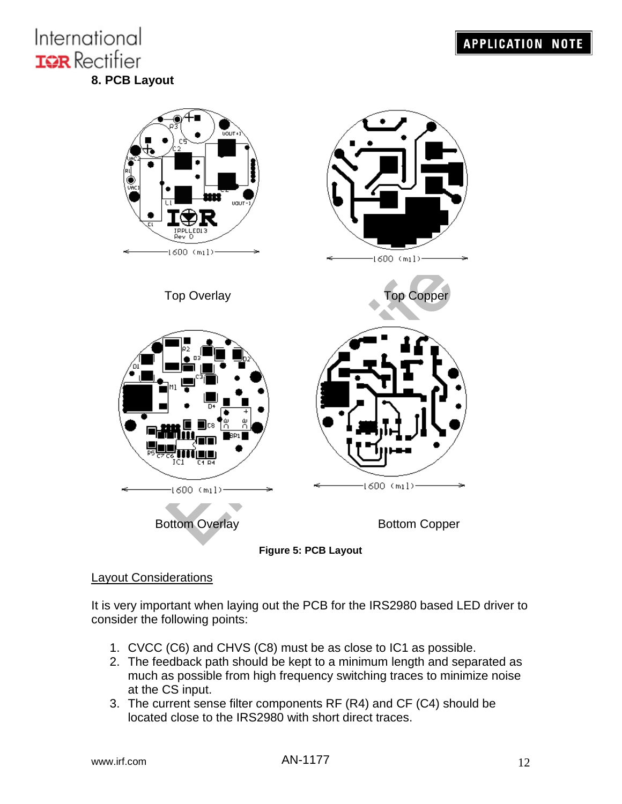### International **IQR** Rectifier **8. PCB Layout**



**Figure 5: PCB Layout**

#### Layout Considerations

It is very important when laying out the PCB for the IRS2980 based LED driver to consider the following points:

- 1. CVCC (C6) and CHVS (C8) must be as close to IC1 as possible.
- 2. The feedback path should be kept to a minimum length and separated as much as possible from high frequency switching traces to minimize noise at the CS input.
- 3. The current sense filter components RF (R4) and CF (C4) should be located close to the IRS2980 with short direct traces.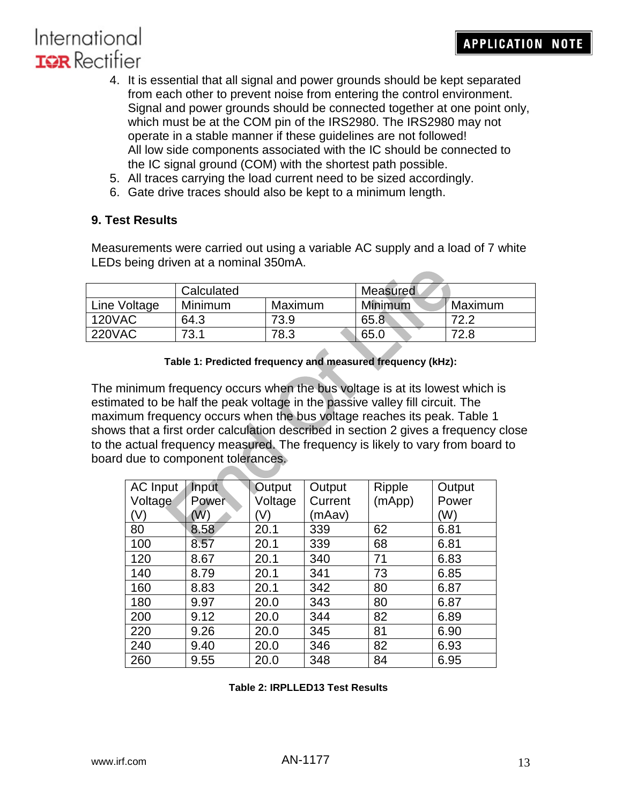- 4. It is essential that all signal and power grounds should be kept separated from each other to prevent noise from entering the control environment. Signal and power grounds should be connected together at one point only, which must be at the COM pin of the IRS2980. The IRS2980 may not operate in a stable manner if these guidelines are not followed! All low side components associated with the IC should be connected to the IC signal ground (COM) with the shortest path possible.
- 5. All traces carrying the load current need to be sized accordingly.
- 6. Gate drive traces should also be kept to a minimum length.

#### **9. Test Results**

Measurements were carried out using a variable AC supply and a load of 7 white LEDs being driven at a nominal 350mA.

|               | Calculated |         | Measured |         |
|---------------|------------|---------|----------|---------|
| Line Voltage  | Minimum    | Maximum | Minimum  | Maximum |
| <b>120VAC</b> | 64.3       | 73.9    | 65.8     | 72 2    |
| <b>220VAC</b> | 73.1       | 78.3    | 65.0     | 72.8    |

#### **Table 1: Predicted frequency and measured frequency (kHz):**

Calculated Minimum Maximum Minimum Maximum Minimum 64.3 73.9 65.8 72.<br>
Table 1: Predicted frequency and measured frequency (kHz):<br>
Table 1: Predicted frequency and measured frequency (kHz):<br>
frequency occurs when the bus v The minimum frequency occurs when the bus voltage is at its lowest which is estimated to be half the peak voltage in the passive valley fill circuit. The maximum frequency occurs when the bus voltage reaches its peak. Table 1 shows that a first order calculation described in section 2 gives a frequency close to the actual frequency measured. The frequency is likely to vary from board to board due to component tolerances.

| AC Input | Input | Output  | Output  | Ripple | Output |
|----------|-------|---------|---------|--------|--------|
| Voltage  | Power | Voltage | Current | (mApp) | Power  |
| (V)      | (W)   | V)      | (mAav)  |        | (W)    |
| 80       | 8.58  | 20.1    | 339     | 62     | 6.81   |
| 100      | 8.57  | 20.1    | 339     | 68     | 6.81   |
| 120      | 8.67  | 20.1    | 340     | 71     | 6.83   |
| 140      | 8.79  | 20.1    | 341     | 73     | 6.85   |
| 160      | 8.83  | 20.1    | 342     | 80     | 6.87   |
| 180      | 9.97  | 20.0    | 343     | 80     | 6.87   |
| 200      | 9.12  | 20.0    | 344     | 82     | 6.89   |
| 220      | 9.26  | 20.0    | 345     | 81     | 6.90   |
| 240      | 9.40  | 20.0    | 346     | 82     | 6.93   |
| 260      | 9.55  | 20.0    | 348     | 84     | 6.95   |

#### **Table 2: IRPLLED13 Test Results**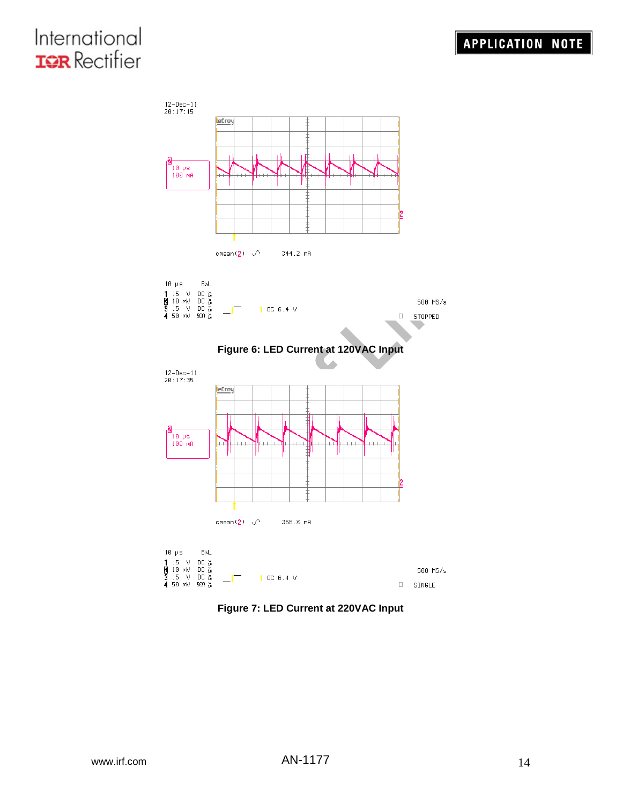

**Figure 7: LED Current at 220VAC Input**